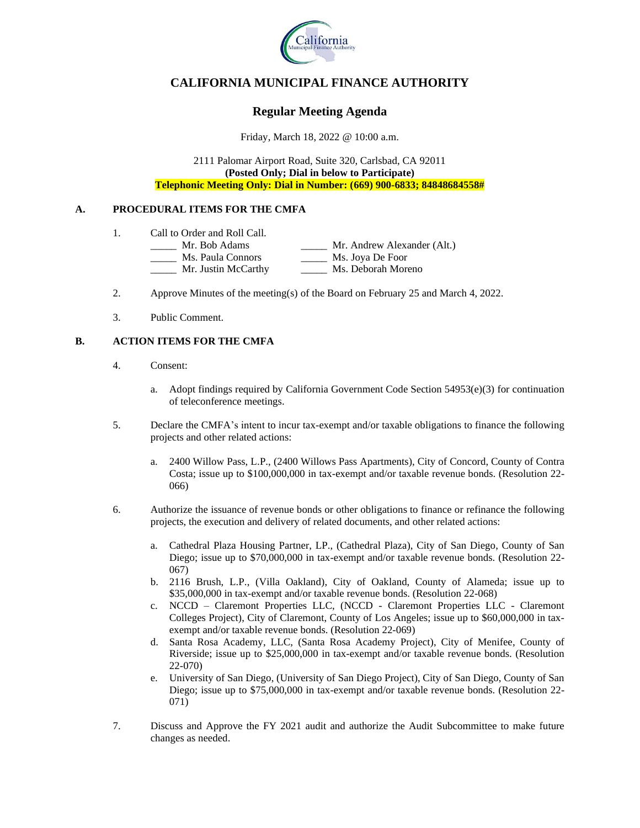

# **CALIFORNIA MUNICIPAL FINANCE AUTHORITY**

## **Regular Meeting Agenda**

Friday, March 18, 2022 @ 10:00 a.m.

2111 Palomar Airport Road, Suite 320, Carlsbad, CA 92011 **(Posted Only; Dial in below to Participate) Telephonic Meeting Only: Dial in Number: (669) 900-6833; 84848684558#**

### **A. PROCEDURAL ITEMS FOR THE CMFA**

- 1. Call to Order and Roll Call.
	- \_\_\_\_\_ Mr. Bob Adams \_\_\_\_\_ Mr. Andrew Alexander (Alt.) \_\_\_\_\_ Ms. Paula Connors \_\_\_\_\_ Ms. Joya De Foor \_\_\_\_\_ Mr. Justin McCarthy \_\_\_\_\_ Ms. Deborah Moreno
- 2. Approve Minutes of the meeting(s) of the Board on February 25 and March 4, 2022.
- 3. Public Comment.

### **B. ACTION ITEMS FOR THE CMFA**

- 4. Consent:
	- a. Adopt findings required by California Government Code Section  $54953(e)(3)$  for continuation of teleconference meetings.
- 5. Declare the CMFA's intent to incur tax-exempt and/or taxable obligations to finance the following projects and other related actions:
	- a. 2400 Willow Pass, L.P., (2400 Willows Pass Apartments), City of Concord, County of Contra Costa; issue up to \$100,000,000 in tax-exempt and/or taxable revenue bonds. (Resolution 22- 066)
- 6. Authorize the issuance of revenue bonds or other obligations to finance or refinance the following projects, the execution and delivery of related documents, and other related actions:
	- a. Cathedral Plaza Housing Partner, LP., (Cathedral Plaza), City of San Diego, County of San Diego; issue up to \$70,000,000 in tax-exempt and/or taxable revenue bonds. (Resolution 22- 067)
	- b. 2116 Brush, L.P., (Villa Oakland), City of Oakland, County of Alameda; issue up to \$35,000,000 in tax-exempt and/or taxable revenue bonds. (Resolution 22-068)
	- c. NCCD Claremont Properties LLC, (NCCD Claremont Properties LLC Claremont Colleges Project), City of Claremont, County of Los Angeles; issue up to \$60,000,000 in taxexempt and/or taxable revenue bonds. (Resolution 22-069)
	- d. Santa Rosa Academy, LLC, (Santa Rosa Academy Project), City of Menifee, County of Riverside; issue up to \$25,000,000 in tax-exempt and/or taxable revenue bonds. (Resolution 22-070)
	- e. University of San Diego, (University of San Diego Project), City of San Diego, County of San Diego; issue up to \$75,000,000 in tax-exempt and/or taxable revenue bonds. (Resolution 22- 071)
- 7. Discuss and Approve the FY 2021 audit and authorize the Audit Subcommittee to make future changes as needed.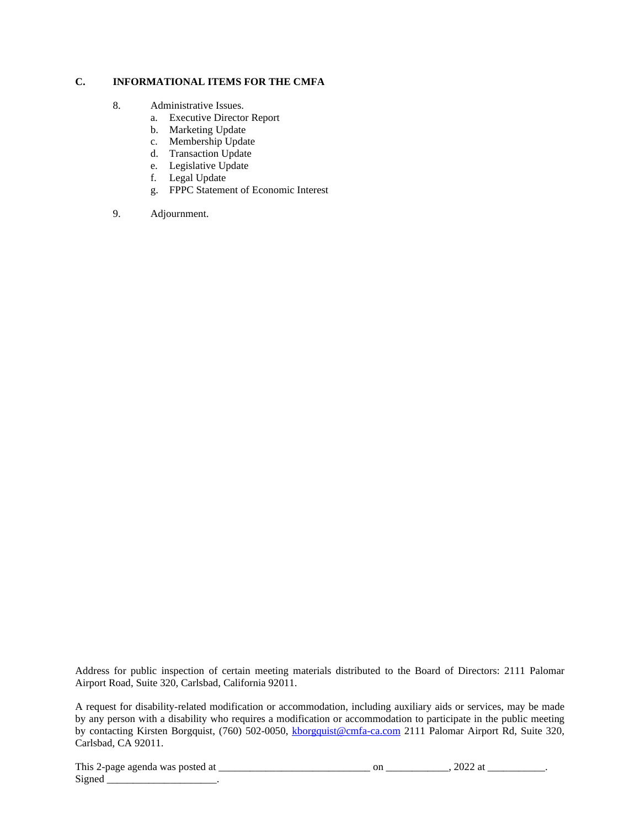### **C. INFORMATIONAL ITEMS FOR THE CMFA**

- 8. Administrative Issues.
	- a. Executive Director Report
	- b. Marketing Update
	- c. Membership Update
	- d. Transaction Update
	- e. Legislative Update
	- f. Legal Update
	- g. FPPC Statement of Economic Interest
- 9. Adjournment.

Address for public inspection of certain meeting materials distributed to the Board of Directors: 2111 Palomar Airport Road, Suite 320, Carlsbad, California 92011.

A request for disability-related modification or accommodation, including auxiliary aids or services, may be made by any person with a disability who requires a modification or accommodation to participate in the public meeting by contacting Kirsten Borgquist, (760) 502-0050, [kborgquist@cmfa-ca.com](mailto:kborgquist@cmfa-ca.com) 2111 Palomar Airport Rd, Suite 320, Carlsbad, CA 92011.

| This<br>$^{\circ}$<br>was<br>stec<br>no<br>∠-nage 1<br>аяения | OL. | . |
|---------------------------------------------------------------|-----|---|
| $\sim$<br>Sione<br><u>.</u>                                   |     |   |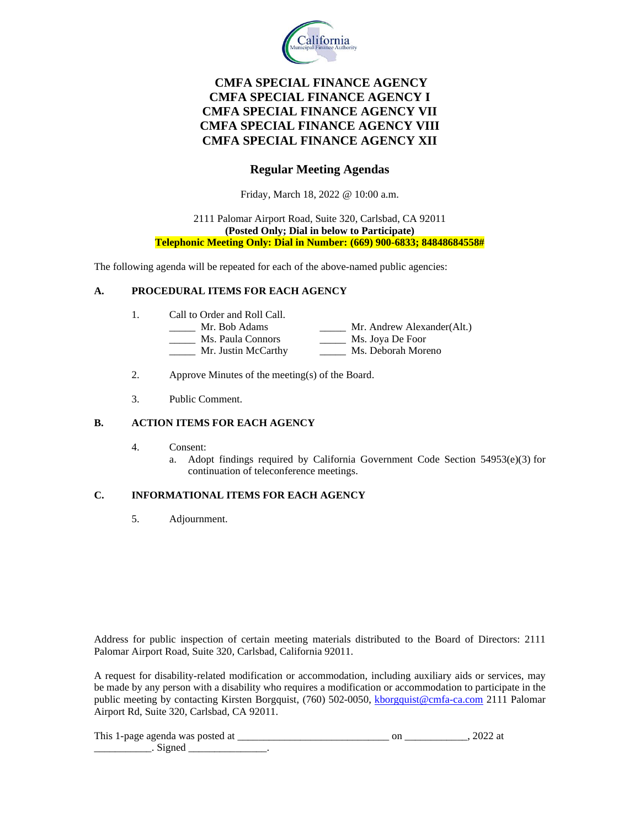

# **CMFA SPECIAL FINANCE AGENCY CMFA SPECIAL FINANCE AGENCY I CMFA SPECIAL FINANCE AGENCY VII CMFA SPECIAL FINANCE AGENCY VIII CMFA SPECIAL FINANCE AGENCY XII**

## **Regular Meeting Agendas**

Friday, March 18, 2022 @ 10:00 a.m.

### 2111 Palomar Airport Road, Suite 320, Carlsbad, CA 92011 **(Posted Only; Dial in below to Participate) Telephonic Meeting Only: Dial in Number: (669) 900-6833; 84848684558#**

The following agenda will be repeated for each of the above-named public agencies:

### **A. PROCEDURAL ITEMS FOR EACH AGENCY**

- 1. Call to Order and Roll Call.
	- \_\_\_\_\_ Mr. Bob Adams \_\_\_\_\_ Mr. Andrew Alexander(Alt.) \_\_\_\_\_ Ms. Paula Connors \_\_\_\_\_ Ms. Joya De Foor
		- \_\_\_\_\_ Mr. Justin McCarthy \_\_\_\_\_ Ms. Deborah Moreno
- 2. Approve Minutes of the meeting(s) of the Board.
- 3. Public Comment.

### **B. ACTION ITEMS FOR EACH AGENCY**

- 4. Consent:
	- a. Adopt findings required by California Government Code Section 54953(e)(3) for continuation of teleconference meetings.

### **C. INFORMATIONAL ITEMS FOR EACH AGENCY**

5. Adjournment.

Address for public inspection of certain meeting materials distributed to the Board of Directors: 2111 Palomar Airport Road, Suite 320, Carlsbad, California 92011.

A request for disability-related modification or accommodation, including auxiliary aids or services, may be made by any person with a disability who requires a modification or accommodation to participate in the public meeting by contacting Kirsten Borgquist, (760) 502-0050, [kborgquist@cmfa-ca.com](mailto:kborgquist@cmfa-ca.com) 2111 Palomar Airport Rd, Suite 320, Carlsbad, CA 92011.

| This<br>- 1124<br>άl | ີ |  |
|----------------------|---|--|
|                      |   |  |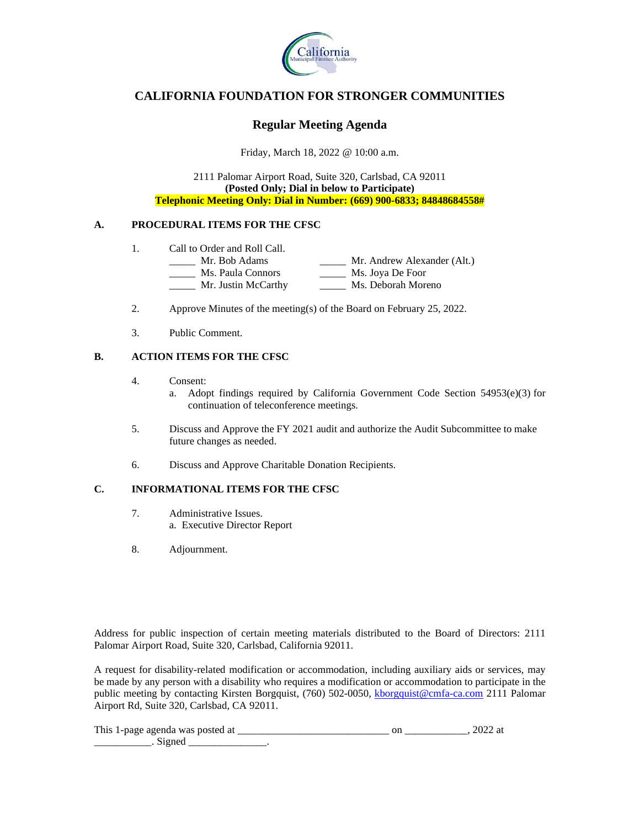

## **CALIFORNIA FOUNDATION FOR STRONGER COMMUNITIES**

### **Regular Meeting Agenda**

Friday, March 18, 2022 @ 10:00 a.m.

2111 Palomar Airport Road, Suite 320, Carlsbad, CA 92011 **(Posted Only; Dial in below to Participate) Telephonic Meeting Only: Dial in Number: (669) 900-6833; 84848684558#**

### **A. PROCEDURAL ITEMS FOR THE CFSC**

- 1. Call to Order and Roll Call.<br>
<u>\_\_\_\_\_\_</u> Mr. Bob Adams
	- \_\_\_\_\_ Mr. Bob Adams \_\_\_\_\_ Mr. Andrew Alexander (Alt.) \_\_\_\_\_ Ms. Paula Connors \_\_\_\_\_ Ms. Joya De Foor \_\_\_\_\_ Mr. Justin McCarthy \_\_\_\_\_ Ms. Deborah Moreno
- 2. Approve Minutes of the meeting(s) of the Board on February 25, 2022.
- 3. Public Comment.

### **B. ACTION ITEMS FOR THE CFSC**

- 4. Consent:
	- a. Adopt findings required by California Government Code Section  $54953(e)(3)$  for continuation of teleconference meetings.
- 5. Discuss and Approve the FY 2021 audit and authorize the Audit Subcommittee to make future changes as needed.
- 6. Discuss and Approve Charitable Donation Recipients.

### **C. INFORMATIONAL ITEMS FOR THE CFSC**

- 7. Administrative Issues. a. Executive Director Report
- 8. Adjournment.

Address for public inspection of certain meeting materials distributed to the Board of Directors: 2111 Palomar Airport Road, Suite 320, Carlsbad, California 92011.

A request for disability-related modification or accommodation, including auxiliary aids or services, may be made by any person with a disability who requires a modification or accommodation to participate in the public meeting by contacting Kirsten Borgquist, (760) 502-0050, [kborgquist@cmfa-ca.com](mailto:kborgquist@cmfa-ca.com) 2111 Palomar Airport Rd, Suite 320, Carlsbad, CA 92011.

| This 1-page agenda was posted at |  |  |
|----------------------------------|--|--|
|                                  |  |  |